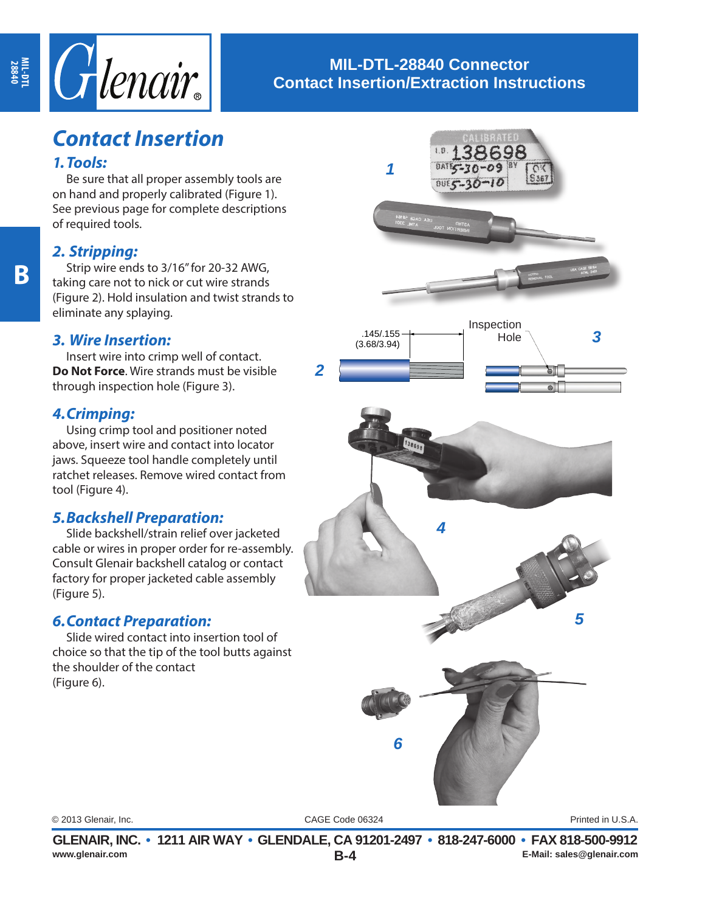

## **MIL-DTL-28840 Connector Contact Insertion/Extraction Instructions**

# *Contact Insertion*

#### *1.Tools:*

Be sure that all proper assembly tools are on hand and properly calibrated (Figure 1). See previous page for complete descriptions of required tools.

## *2. Stripping:*

Strip wire ends to 3/16" for 20-32 AWG, taking care not to nick or cut wire strands (Figure 2). Hold insulation and twist strands to eliminate any splaying.

## *3. Wire Insertion:*

Insert wire into crimp well of contact. **Do Not Force**. Wire strands must be visible through inspection hole (Figure 3).

### *4.Crimping:*

Using crimp tool and positioner noted above, insert wire and contact into locator jaws. Squeeze tool handle completely until ratchet releases. Remove wired contact from tool (Figure 4).

## *5.Backshell Preparation:*

Slide backshell/strain relief over jacketed cable or wires in proper order for re-assembly. Consult Glenair backshell catalog or contact factory for proper jacketed cable assembly (Figure 5).

## *6.Contact Preparation:*

Slide wired contact into insertion tool of choice so that the tip of the tool butts against the shoulder of the contact (Figure 6).



CAGE Code 06324 © 2013 Glenair, Inc. Printed in U.S.A.

**B-4 GLENAIR, INC. • 1211 AIR WAY • GLENDALE, CA 91201-2497 • 818-247-6000 • FAX 818-500-9912**<br>E-Mail: sales@glenair.com **www.glenair.com E-Mail: sales@glenair.com**